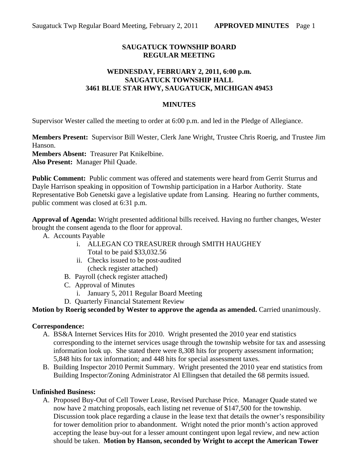## **SAUGATUCK TOWNSHIP BOARD REGULAR MEETING**

## **WEDNESDAY, FEBRUARY 2, 2011, 6:00 p.m. SAUGATUCK TOWNSHIP HALL 3461 BLUE STAR HWY, SAUGATUCK, MICHIGAN 49453**

#### **MINUTES**

Supervisor Wester called the meeting to order at 6:00 p.m. and led in the Pledge of Allegiance.

**Members Present:** Supervisor Bill Wester, Clerk Jane Wright, Trustee Chris Roerig, and Trustee Jim Hanson.

**Members Absent:** Treasurer Pat Knikelbine.

**Also Present:** Manager Phil Quade.

**Public Comment:** Public comment was offered and statements were heard from Gerrit Sturrus and Dayle Harrison speaking in opposition of Township participation in a Harbor Authority. State Representative Bob Genetski gave a legislative update from Lansing. Hearing no further comments, public comment was closed at 6:31 p.m.

**Approval of Agenda:** Wright presented additional bills received. Having no further changes, Wester brought the consent agenda to the floor for approval.

- A. Accounts Payable
	- i. ALLEGAN CO TREASURER through SMITH HAUGHEY Total to be paid \$33,032.56
	- ii. Checks issued to be post-audited (check register attached)
	- B. Payroll (check register attached)
	- C. Approval of Minutes
		- i. January 5, 2011 Regular Board Meeting
	- D. Quarterly Financial Statement Review

### **Motion by Roerig seconded by Wester to approve the agenda as amended.** Carried unanimously.

#### **Correspondence:**

- A. BS&A Internet Services Hits for 2010. Wright presented the 2010 year end statistics corresponding to the internet services usage through the township website for tax and assessing information look up. She stated there were 8,308 hits for property assessment information; 5,848 hits for tax information; and 448 hits for special assessment taxes.
- B. Building Inspector 2010 Permit Summary. Wright presented the 2010 year end statistics from Building Inspector/Zoning Administrator Al Ellingsen that detailed the 68 permits issued.

#### **Unfinished Business:**

A. Proposed Buy-Out of Cell Tower Lease, Revised Purchase Price. Manager Quade stated we now have 2 matching proposals, each listing net revenue of \$147,500 for the township. Discussion took place regarding a clause in the lease text that details the owner's responsibility for tower demolition prior to abandonment. Wright noted the prior month's action approved accepting the lease buy-out for a lesser amount contingent upon legal review, and new action should be taken. **Motion by Hanson, seconded by Wright to accept the American Tower**